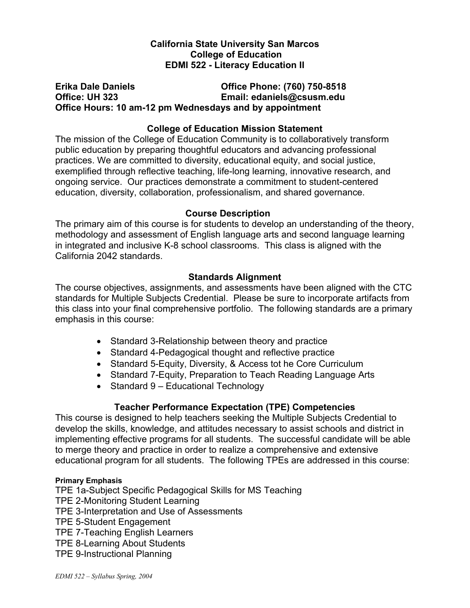# **California State University San Marcos College of Education EDMI 522 - Literacy Education II**

# **Erika Dale Daniels Office Phone: (760) 750-8518 Office: UH 323 Email: edaniels@csusm.edu Office Hours: 10 am-12 pm Wednesdays and by appointment**

# **College of Education Mission Statement**

The mission of the College of Education Community is to collaboratively transform public education by preparing thoughtful educators and advancing professional practices. We are committed to diversity, educational equity, and social justice, exemplified through reflective teaching, life-long learning, innovative research, and ongoing service. Our practices demonstrate a commitment to student-centered education, diversity, collaboration, professionalism, and shared governance.

## **Course Description**

The primary aim of this course is for students to develop an understanding of the theory, methodology and assessment of English language arts and second language learning in integrated and inclusive K-8 school classrooms. This class is aligned with the California 2042 standards.

## **Standards Alignment**

The course objectives, assignments, and assessments have been aligned with the CTC standards for Multiple Subjects Credential. Please be sure to incorporate artifacts from this class into your final comprehensive portfolio. The following standards are a primary emphasis in this course:

- Standard 3-Relationship between theory and practice
- Standard 4-Pedagogical thought and reflective practice
- Standard 5-Equity, Diversity, & Access tot he Core Curriculum
- Standard 7-Equity, Preparation to Teach Reading Language Arts
- Standard 9 Educational Technology

## **Teacher Performance Expectation (TPE) Competencies**

This course is designed to help teachers seeking the Multiple Subjects Credential to develop the skills, knowledge, and attitudes necessary to assist schools and district in implementing effective programs for all students. The successful candidate will be able to merge theory and practice in order to realize a comprehensive and extensive educational program for all students. The following TPEs are addressed in this course:

### **Primary Emphasis**

TPE 1a-Subject Specific Pedagogical Skills for MS Teaching TPE 2-Monitoring Student Learning TPE 3-Interpretation and Use of Assessments TPE 5-Student Engagement TPE 7-Teaching English Learners TPE 8-Learning About Students TPE 9-Instructional Planning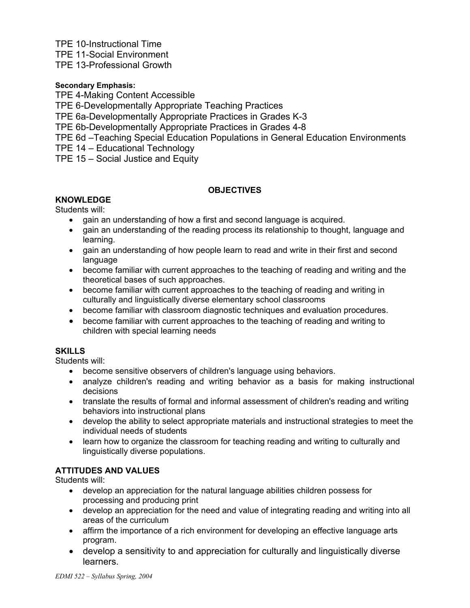TPE 10-Instructional Time

TPE 11-Social Environment

TPE 13-Professional Growth

### **Secondary Emphasis:**

TPE 4-Making Content Accessible

TPE 6-Developmentally Appropriate Teaching Practices

TPE 6a-Developmentally Appropriate Practices in Grades K-3

TPE 6b-Developmentally Appropriate Practices in Grades 4-8

TPE 6d –Teaching Special Education Populations in General Education Environments

TPE 14 – Educational Technology

TPE 15 – Social Justice and Equity

## **OBJECTIVES**

# **KNOWLEDGE**

Students will:

- gain an understanding of how a first and second language is acquired.
- gain an understanding of the reading process its relationship to thought, language and learning.
- gain an understanding of how people learn to read and write in their first and second language
- become familiar with current approaches to the teaching of reading and writing and the theoretical bases of such approaches.
- become familiar with current approaches to the teaching of reading and writing in culturally and linguistically diverse elementary school classrooms
- become familiar with classroom diagnostic techniques and evaluation procedures.
- become familiar with current approaches to the teaching of reading and writing to children with special learning needs

## **SKILLS**

Students will:

- become sensitive observers of children's language using behaviors.
- analyze children's reading and writing behavior as a basis for making instructional decisions
- translate the results of formal and informal assessment of children's reading and writing behaviors into instructional plans
- develop the ability to select appropriate materials and instructional strategies to meet the individual needs of students
- learn how to organize the classroom for teaching reading and writing to culturally and linguistically diverse populations.

## **ATTITUDES AND VALUES**

Students will:

- develop an appreciation for the natural language abilities children possess for processing and producing print
- develop an appreciation for the need and value of integrating reading and writing into all areas of the curriculum
- affirm the importance of a rich environment for developing an effective language arts program.
- develop a sensitivity to and appreciation for culturally and linguistically diverse learners.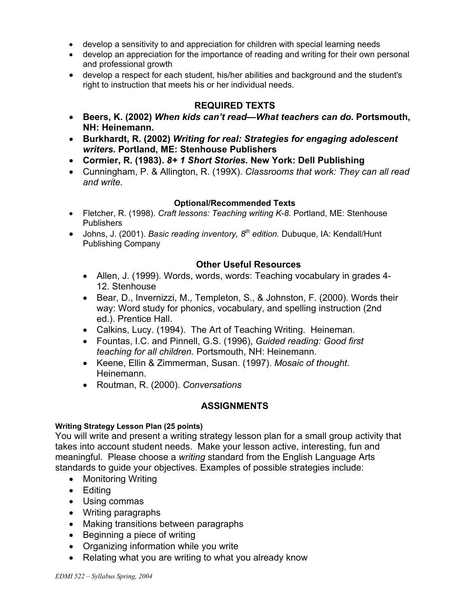- develop a sensitivity to and appreciation for children with special learning needs
- develop an appreciation for the importance of reading and writing for their own personal and professional growth
- develop a respect for each student, his/her abilities and background and the student's right to instruction that meets his or her individual needs.

# **REQUIRED TEXTS**

- **Beers, K. (2002)** *When kids can't read—What teachers can do.* **Portsmouth, NH: Heinemann.**
- **Burkhardt, R. (2002)** *Writing for real: Strategies for engaging adolescent writers.* **Portland, ME: Stenhouse Publishers**
- **Cormier, R. (1983).** *8+ 1 Short Stories.* **New York: Dell Publishing**
- Cunningham, P. & Allington, R. (199X). *Classrooms that work: They can all read and write.*

### **Optional/Recommended Texts**

- Fletcher, R. (1998). *Craft lessons: Teaching writing K-8.* Portland, ME: Stenhouse Publishers
- Johns, J. (2001). *Basic reading inventory, 8th edition.* Dubuque, IA: Kendall/Hunt Publishing Company

### **Other Useful Resources**

- Allen, J. (1999). Words, words, words: Teaching vocabulary in grades 4- 12. Stenhouse
- Bear, D., Invernizzi, M., Templeton, S., & Johnston, F. (2000). Words their way: Word study for phonics, vocabulary, and spelling instruction (2nd ed.). Prentice Hall.
- Calkins, Lucy. (1994). The Art of Teaching Writing. Heineman.
- Fountas, I.C. and Pinnell, G.S. (1996), *Guided reading: Good first teaching for all children.* Portsmouth, NH: Heinemann.
- Keene, Ellin & Zimmerman, Susan. (1997). *Mosaic of thought*. Heinemann.
- Routman, R. (2000). *Conversations*

## **ASSIGNMENTS**

### **Writing Strategy Lesson Plan (25 points)**

You will write and present a writing strategy lesson plan for a small group activity that takes into account student needs. Make your lesson active, interesting, fun and meaningful. Please choose a *writing* standard from the English Language Arts standards to guide your objectives. Examples of possible strategies include:

- Monitoring Writing
- Editing
- Using commas
- Writing paragraphs
- Making transitions between paragraphs
- Beginning a piece of writing
- Organizing information while you write
- Relating what you are writing to what you already know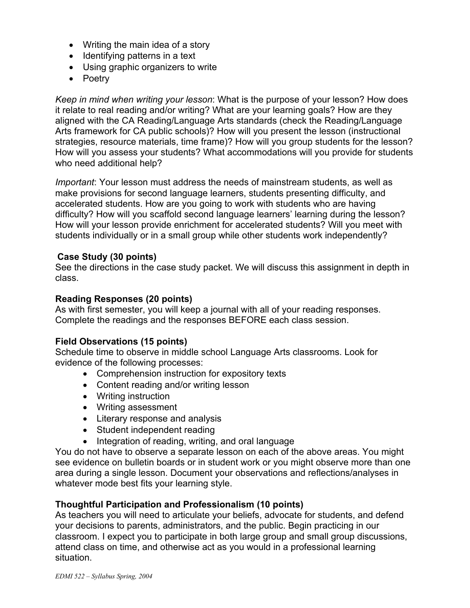- Writing the main idea of a story
- Identifying patterns in a text
- Using graphic organizers to write
- Poetry

*Keep in mind when writing your lesson*: What is the purpose of your lesson? How does it relate to real reading and/or writing? What are your learning goals? How are they aligned with the CA Reading/Language Arts standards (check the Reading/Language Arts framework for CA public schools)? How will you present the lesson (instructional strategies, resource materials, time frame)? How will you group students for the lesson? How will you assess your students? What accommodations will you provide for students who need additional help?

*Important*: Your lesson must address the needs of mainstream students, as well as make provisions for second language learners, students presenting difficulty, and accelerated students. How are you going to work with students who are having difficulty? How will you scaffold second language learners' learning during the lesson? How will your lesson provide enrichment for accelerated students? Will you meet with students individually or in a small group while other students work independently?

## **Case Study (30 points)**

See the directions in the case study packet. We will discuss this assignment in depth in class.

## **Reading Responses (20 points)**

As with first semester, you will keep a journal with all of your reading responses. Complete the readings and the responses BEFORE each class session.

## **Field Observations (15 points)**

Schedule time to observe in middle school Language Arts classrooms. Look for evidence of the following processes:

- Comprehension instruction for expository texts
- Content reading and/or writing lesson
- Writing instruction
- Writing assessment
- Literary response and analysis
- Student independent reading
- Integration of reading, writing, and oral language

You do not have to observe a separate lesson on each of the above areas. You might see evidence on bulletin boards or in student work or you might observe more than one area during a single lesson. Document your observations and reflections/analyses in whatever mode best fits your learning style.

## **Thoughtful Participation and Professionalism (10 points)**

As teachers you will need to articulate your beliefs, advocate for students, and defend your decisions to parents, administrators, and the public. Begin practicing in our classroom. I expect you to participate in both large group and small group discussions, attend class on time, and otherwise act as you would in a professional learning situation.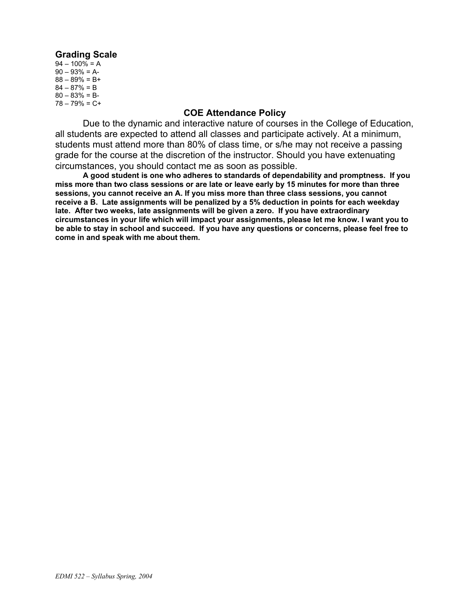### **Grading Scale**

 $94 - 100\% = A$  $90 - 93\% = A$  $88 - 89\% = B +$  $84 - 87\% = B$  $80 - 83\% = B$  $78 - 79\% = C +$ 

#### **COE Attendance Policy**

Due to the dynamic and interactive nature of courses in the College of Education, all students are expected to attend all classes and participate actively. At a minimum, students must attend more than 80% of class time, or s/he may not receive a passing grade for the course at the discretion of the instructor. Should you have extenuating circumstances, you should contact me as soon as possible.

**A good student is one who adheres to standards of dependability and promptness. If you miss more than two class sessions or are late or leave early by 15 minutes for more than three sessions, you cannot receive an A. If you miss more than three class sessions, you cannot receive a B. Late assignments will be penalized by a 5% deduction in points for each weekday late. After two weeks, late assignments will be given a zero. If you have extraordinary circumstances in your life which will impact your assignments, please let me know. I want you to be able to stay in school and succeed. If you have any questions or concerns, please feel free to come in and speak with me about them.**